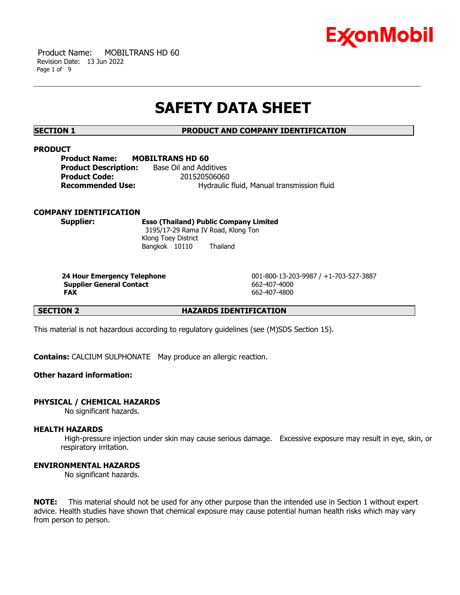

 Product Name: MOBILTRANS HD 60 Revision Date: 13 Jun 2022 Page 1 of 9

# **SAFETY DATA SHEET**

# **SECTION 1 PRODUCT AND COMPANY IDENTIFICATION**

# **PRODUCT**

| <b>Product Name:</b>        | <b>MOBILTRANS HD 60</b>                    |
|-----------------------------|--------------------------------------------|
| <b>Product Description:</b> | Base Oil and Additives                     |
| <b>Product Code:</b>        | 201520506060                               |
| Recommended Use:            | Hydraulic fluid, Manual transmission fluid |

### **COMPANY IDENTIFICATION**

**Supplier: Esso (Thailand) Public Company Limited** 3195/17-29 Rama IV Road, Klong Ton Klong Toey District Bangkok 10110 Thailand

**Supplier General Contact** 662-407-4000 **FAX** 662-407-4800

**24 Hour Emergency Telephone** 001-800-13-203-9987 / +1-703-527-3887

**SECTION 2 HAZARDS IDENTIFICATION**

This material is not hazardous according to regulatory guidelines (see (M)SDS Section 15).

**Contains:** CALCIUM SULPHONATE May produce an allergic reaction.

# **Other hazard information:**

# **PHYSICAL / CHEMICAL HAZARDS**

No significant hazards.

## **HEALTH HAZARDS**

High-pressure injection under skin may cause serious damage. Excessive exposure may result in eye, skin, or respiratory irritation.

#### **ENVIRONMENTAL HAZARDS**

No significant hazards.

**NOTE:** This material should not be used for any other purpose than the intended use in Section 1 without expert advice. Health studies have shown that chemical exposure may cause potential human health risks which may vary from person to person.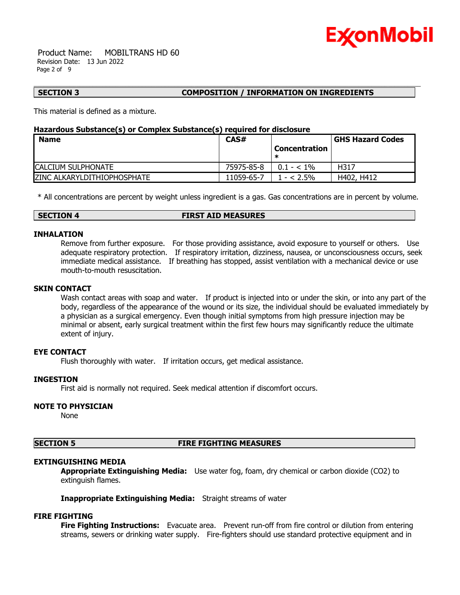

 Product Name: MOBILTRANS HD 60 Revision Date: 13 Jun 2022 Page 2 of 9

# **SECTION 3 COMPOSITION / INFORMATION ON INGREDIENTS**

This material is defined as a mixture.

# **Hazardous Substance(s) or Complex Substance(s) required for disclosure**

| <b>Name</b>                        | CAS#       |                      | <b>GHS Hazard Codes</b> |
|------------------------------------|------------|----------------------|-------------------------|
|                                    |            | <b>Concentration</b> |                         |
|                                    |            |                      |                         |
| <b>CALCIUM SULPHONATE</b>          | 75975-85-8 | $0.1 - < 1\%$        | H317                    |
| <b>ZINC ALKARYLDITHIOPHOSPHATE</b> | 11059-65-7 | $- < 2.5\%$          | H402, H412              |

\* All concentrations are percent by weight unless ingredient is a gas. Gas concentrations are in percent by volume.

#### **SECTION 4 FIRST AID MEASURES**

#### **INHALATION**

Remove from further exposure. For those providing assistance, avoid exposure to yourself or others. Use adequate respiratory protection. If respiratory irritation, dizziness, nausea, or unconsciousness occurs, seek immediate medical assistance. If breathing has stopped, assist ventilation with a mechanical device or use mouth-to-mouth resuscitation.

#### **SKIN CONTACT**

Wash contact areas with soap and water. If product is injected into or under the skin, or into any part of the body, regardless of the appearance of the wound or its size, the individual should be evaluated immediately by a physician as a surgical emergency. Even though initial symptoms from high pressure injection may be minimal or absent, early surgical treatment within the first few hours may significantly reduce the ultimate extent of injury.

# **EYE CONTACT**

Flush thoroughly with water. If irritation occurs, get medical assistance.

#### **INGESTION**

First aid is normally not required. Seek medical attention if discomfort occurs.

#### **NOTE TO PHYSICIAN**

None

# **SECTION 5 FIRE FIGHTING MEASURES**

# **EXTINGUISHING MEDIA**

**Appropriate Extinguishing Media:** Use water fog, foam, dry chemical or carbon dioxide (CO2) to extinguish flames.

**Inappropriate Extinguishing Media:** Straight streams of water

# **FIRE FIGHTING**

**Fire Fighting Instructions:** Evacuate area. Prevent run-off from fire control or dilution from entering streams, sewers or drinking water supply. Fire-fighters should use standard protective equipment and in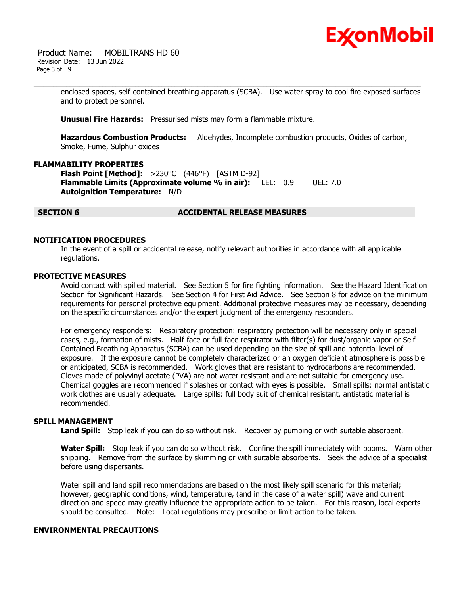

 Product Name: MOBILTRANS HD 60 Revision Date: 13 Jun 2022 Page 3 of 9

> enclosed spaces, self-contained breathing apparatus (SCBA). Use water spray to cool fire exposed surfaces and to protect personnel.

**Unusual Fire Hazards:** Pressurised mists may form a flammable mixture.

**Hazardous Combustion Products:** Aldehydes, Incomplete combustion products, Oxides of carbon, Smoke, Fume, Sulphur oxides

### **FLAMMABILITY PROPERTIES**

**Flash Point [Method]:** >230°C (446°F) [ASTM D-92] **Flammable Limits (Approximate volume % in air):** LEL: 0.9 UEL: 7.0 **Autoignition Temperature:** N/D

# **SECTION 6 ACCIDENTAL RELEASE MEASURES**

### **NOTIFICATION PROCEDURES**

In the event of a spill or accidental release, notify relevant authorities in accordance with all applicable regulations.

#### **PROTECTIVE MEASURES**

Avoid contact with spilled material. See Section 5 for fire fighting information. See the Hazard Identification Section for Significant Hazards. See Section 4 for First Aid Advice. See Section 8 for advice on the minimum requirements for personal protective equipment. Additional protective measures may be necessary, depending on the specific circumstances and/or the expert judgment of the emergency responders.

For emergency responders: Respiratory protection: respiratory protection will be necessary only in special cases, e.g., formation of mists. Half-face or full-face respirator with filter(s) for dust/organic vapor or Self Contained Breathing Apparatus (SCBA) can be used depending on the size of spill and potential level of exposure. If the exposure cannot be completely characterized or an oxygen deficient atmosphere is possible or anticipated, SCBA is recommended. Work gloves that are resistant to hydrocarbons are recommended. Gloves made of polyvinyl acetate (PVA) are not water-resistant and are not suitable for emergency use. Chemical goggles are recommended if splashes or contact with eyes is possible. Small spills: normal antistatic work clothes are usually adequate. Large spills: full body suit of chemical resistant, antistatic material is recommended.

# **SPILL MANAGEMENT**

**Land Spill:** Stop leak if you can do so without risk. Recover by pumping or with suitable absorbent.

**Water Spill:** Stop leak if you can do so without risk. Confine the spill immediately with booms. Warn other shipping. Remove from the surface by skimming or with suitable absorbents. Seek the advice of a specialist before using dispersants.

Water spill and land spill recommendations are based on the most likely spill scenario for this material; however, geographic conditions, wind, temperature, (and in the case of a water spill) wave and current direction and speed may greatly influence the appropriate action to be taken. For this reason, local experts should be consulted. Note: Local regulations may prescribe or limit action to be taken.

# **ENVIRONMENTAL PRECAUTIONS**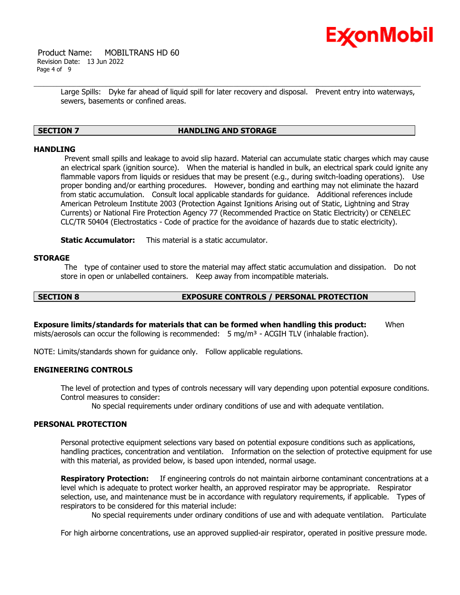

 Product Name: MOBILTRANS HD 60 Revision Date: 13 Jun 2022 Page 4 of 9

> Large Spills: Dyke far ahead of liquid spill for later recovery and disposal. Prevent entry into waterways, sewers, basements or confined areas.

# **SECTION 7 HANDLING AND STORAGE**

### **HANDLING**

Prevent small spills and leakage to avoid slip hazard. Material can accumulate static charges which may cause an electrical spark (ignition source). When the material is handled in bulk, an electrical spark could ignite any flammable vapors from liquids or residues that may be present (e.g., during switch-loading operations). Use proper bonding and/or earthing procedures. However, bonding and earthing may not eliminate the hazard from static accumulation. Consult local applicable standards for guidance. Additional references include American Petroleum Institute 2003 (Protection Against Ignitions Arising out of Static, Lightning and Stray Currents) or National Fire Protection Agency 77 (Recommended Practice on Static Electricity) or CENELEC CLC/TR 50404 (Electrostatics - Code of practice for the avoidance of hazards due to static electricity).

**Static Accumulator:** This material is a static accumulator.

#### **STORAGE**

The type of container used to store the material may affect static accumulation and dissipation. Do not store in open or unlabelled containers. Keep away from incompatible materials.

# **SECTION 8 EXPOSURE CONTROLS / PERSONAL PROTECTION**

**Exposure limits/standards for materials that can be formed when handling this product:** When mists/aerosols can occur the following is recommended:  $5 \text{ mg/m}^3$  - ACGIH TLV (inhalable fraction).

NOTE: Limits/standards shown for guidance only. Follow applicable regulations.

# **ENGINEERING CONTROLS**

The level of protection and types of controls necessary will vary depending upon potential exposure conditions. Control measures to consider:

No special requirements under ordinary conditions of use and with adequate ventilation.

#### **PERSONAL PROTECTION**

Personal protective equipment selections vary based on potential exposure conditions such as applications, handling practices, concentration and ventilation. Information on the selection of protective equipment for use with this material, as provided below, is based upon intended, normal usage.

**Respiratory Protection:** If engineering controls do not maintain airborne contaminant concentrations at a level which is adequate to protect worker health, an approved respirator may be appropriate. Respirator selection, use, and maintenance must be in accordance with regulatory requirements, if applicable. Types of respirators to be considered for this material include:

No special requirements under ordinary conditions of use and with adequate ventilation. Particulate

For high airborne concentrations, use an approved supplied-air respirator, operated in positive pressure mode.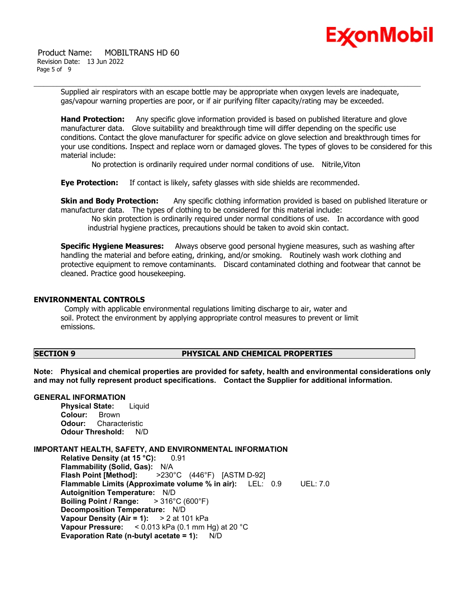

 Product Name: MOBILTRANS HD 60 Revision Date: 13 Jun 2022 Page 5 of 9

> Supplied air respirators with an escape bottle may be appropriate when oxygen levels are inadequate, gas/vapour warning properties are poor, or if air purifying filter capacity/rating may be exceeded.

**Hand Protection:** Any specific glove information provided is based on published literature and glove manufacturer data. Glove suitability and breakthrough time will differ depending on the specific use conditions. Contact the glove manufacturer for specific advice on glove selection and breakthrough times for your use conditions. Inspect and replace worn or damaged gloves. The types of gloves to be considered for this material include:

No protection is ordinarily required under normal conditions of use. Nitrile,Viton

**Eye Protection:** If contact is likely, safety glasses with side shields are recommended.

**Skin and Body Protection:** Any specific clothing information provided is based on published literature or manufacturer data. The types of clothing to be considered for this material include:

No skin protection is ordinarily required under normal conditions of use. In accordance with good industrial hygiene practices, precautions should be taken to avoid skin contact.

**Specific Hygiene Measures:** Always observe good personal hygiene measures, such as washing after handling the material and before eating, drinking, and/or smoking. Routinely wash work clothing and protective equipment to remove contaminants. Discard contaminated clothing and footwear that cannot be cleaned. Practice good housekeeping.

#### **ENVIRONMENTAL CONTROLS**

Comply with applicable environmental regulations limiting discharge to air, water and soil. Protect the environment by applying appropriate control measures to prevent or limit emissions.

## **SECTION 9 PHYSICAL AND CHEMICAL PROPERTIES**

**Note: Physical and chemical properties are provided for safety, health and environmental considerations only and may not fully represent product specifications. Contact the Supplier for additional information.**

#### **GENERAL INFORMATION**

**Physical State:** Liquid **Colour:** Brown **Odour:** Characteristic **Odour Threshold:** N/D

### **IMPORTANT HEALTH, SAFETY, AND ENVIRONMENTAL INFORMATION**

**Relative Density (at 15 °C):** 0.91 **Flammability (Solid, Gas):** N/A **Flash Point [Method]:** >230°C (446°F) [ASTM D-92] **Flammable Limits (Approximate volume % in air):** LEL: 0.9 UEL: 7.0 **Autoignition Temperature:** N/D **Boiling Point / Range:** > 316°C (600°F) **Decomposition Temperature:** N/D **Vapour Density (Air = 1):** > 2 at 101 kPa **Vapour Pressure:** < 0.013 kPa (0.1 mm Hg) at 20 °C **Evaporation Rate (n-butyl acetate = 1):** N/D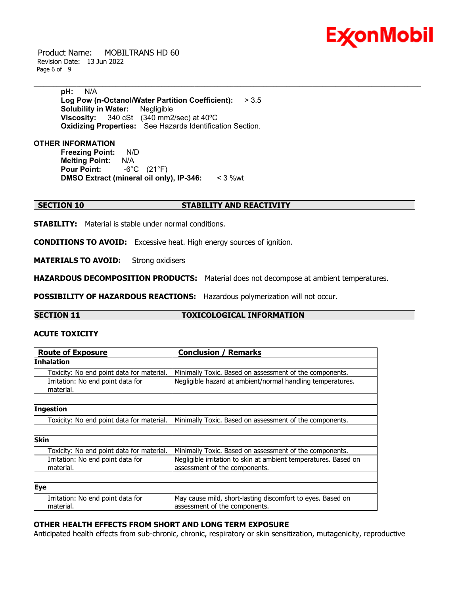

 Product Name: MOBILTRANS HD 60 Revision Date: 13 Jun 2022 Page 6 of 9

> **pH:** N/A **Log Pow (n-Octanol/Water Partition Coefficient):** > 3.5 **Solubility in Water:** Negligible **Viscosity:** 340 cSt (340 mm2/sec) at 40ºC **Oxidizing Properties:** See Hazards Identification Section.

## **OTHER INFORMATION**

**Freezing Point:** N/D **Melting Point: N/A<br>Pour Point: -6°C Pour Point:** -6°C (21°F) **DMSO Extract (mineral oil only), IP-346:** < 3 %wt

### **SECTION 10 STABILITY AND REACTIVITY**

**STABILITY:** Material is stable under normal conditions.

**CONDITIONS TO AVOID:** Excessive heat. High energy sources of ignition.

**MATERIALS TO AVOID:** Strong oxidisers

**HAZARDOUS DECOMPOSITION PRODUCTS:** Material does not decompose at ambient temperatures.

**POSSIBILITY OF HAZARDOUS REACTIONS:** Hazardous polymerization will not occur.

# **SECTION 11 TOXICOLOGICAL INFORMATION**

# **ACUTE TOXICITY**

| <b>Route of Exposure</b>                       | <b>Conclusion / Remarks</b>                                                                      |  |  |  |
|------------------------------------------------|--------------------------------------------------------------------------------------------------|--|--|--|
| <b>Inhalation</b>                              |                                                                                                  |  |  |  |
| Toxicity: No end point data for material.      | Minimally Toxic. Based on assessment of the components.                                          |  |  |  |
| Irritation: No end point data for<br>material. | Negligible hazard at ambient/normal handling temperatures.                                       |  |  |  |
|                                                |                                                                                                  |  |  |  |
| Ingestion                                      |                                                                                                  |  |  |  |
| Toxicity: No end point data for material.      | Minimally Toxic. Based on assessment of the components.                                          |  |  |  |
|                                                |                                                                                                  |  |  |  |
| <b>Skin</b>                                    |                                                                                                  |  |  |  |
| Toxicity: No end point data for material.      | Minimally Toxic. Based on assessment of the components.                                          |  |  |  |
| Irritation: No end point data for<br>material. | Negligible irritation to skin at ambient temperatures. Based on<br>assessment of the components. |  |  |  |
|                                                |                                                                                                  |  |  |  |
| <b>Eye</b>                                     |                                                                                                  |  |  |  |
| Irritation: No end point data for<br>material. | May cause mild, short-lasting discomfort to eyes. Based on<br>assessment of the components.      |  |  |  |

# **OTHER HEALTH EFFECTS FROM SHORT AND LONG TERM EXPOSURE**

Anticipated health effects from sub-chronic, chronic, respiratory or skin sensitization, mutagenicity, reproductive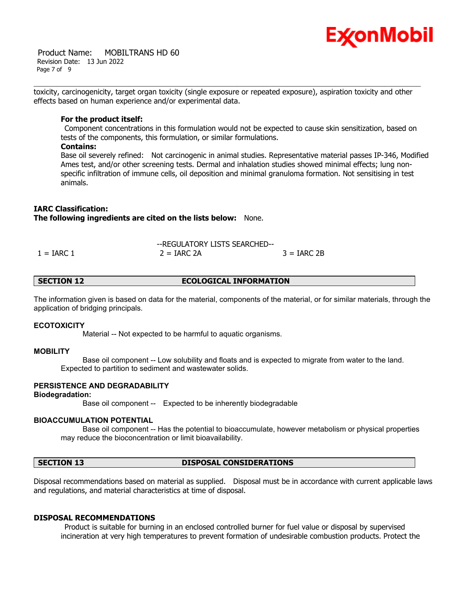

 Product Name: MOBILTRANS HD 60 Revision Date: 13 Jun 2022 Page 7 of 9

toxicity, carcinogenicity, target organ toxicity (single exposure or repeated exposure), aspiration toxicity and other effects based on human experience and/or experimental data.

#### **For the product itself:**

Component concentrations in this formulation would not be expected to cause skin sensitization, based on tests of the components, this formulation, or similar formulations.

### **Contains:**

Base oil severely refined: Not carcinogenic in animal studies. Representative material passes IP-346, Modified Ames test, and/or other screening tests. Dermal and inhalation studies showed minimal effects; lung nonspecific infiltration of immune cells, oil deposition and minimal granuloma formation. Not sensitising in test animals.

# **IARC Classification:**

**The following ingredients are cited on the lists below:** None.

|              | --REGULATORY LISTS SEARCHED-- |               |  |
|--------------|-------------------------------|---------------|--|
| $1 = IARC 1$ | $2 = IARC 2A$                 | $3 = IARC 2B$ |  |

# **SECTION 12 ECOLOGICAL INFORMATION**

The information given is based on data for the material, components of the material, or for similar materials, through the application of bridging principals.

#### **ECOTOXICITY**

Material -- Not expected to be harmful to aquatic organisms.

#### **MOBILITY**

 Base oil component -- Low solubility and floats and is expected to migrate from water to the land. Expected to partition to sediment and wastewater solids.

# **PERSISTENCE AND DEGRADABILITY**

#### **Biodegradation:**

Base oil component -- Expected to be inherently biodegradable

#### **BIOACCUMULATION POTENTIAL**

 Base oil component -- Has the potential to bioaccumulate, however metabolism or physical properties may reduce the bioconcentration or limit bioavailability.

# **SECTION 13 DISPOSAL CONSIDERATIONS**

Disposal recommendations based on material as supplied. Disposal must be in accordance with current applicable laws and regulations, and material characteristics at time of disposal.

# **DISPOSAL RECOMMENDATIONS**

Product is suitable for burning in an enclosed controlled burner for fuel value or disposal by supervised incineration at very high temperatures to prevent formation of undesirable combustion products. Protect the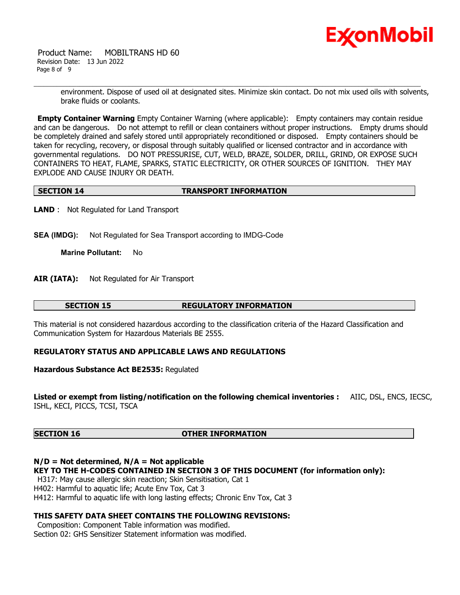

 Product Name: MOBILTRANS HD 60 Revision Date: 13 Jun 2022 Page 8 of 9

> environment. Dispose of used oil at designated sites. Minimize skin contact. Do not mix used oils with solvents, brake fluids or coolants.

**Empty Container Warning** Empty Container Warning (where applicable): Empty containers may contain residue and can be dangerous. Do not attempt to refill or clean containers without proper instructions. Empty drums should be completely drained and safely stored until appropriately reconditioned or disposed. Empty containers should be taken for recycling, recovery, or disposal through suitably qualified or licensed contractor and in accordance with governmental regulations. DO NOT PRESSURISE, CUT, WELD, BRAZE, SOLDER, DRILL, GRIND, OR EXPOSE SUCH CONTAINERS TO HEAT, FLAME, SPARKS, STATIC ELECTRICITY, OR OTHER SOURCES OF IGNITION. THEY MAY EXPLODE AND CAUSE INJURY OR DEATH.

# **SECTION 14 TRANSPORT INFORMATION**

**LAND** : Not Regulated for Land Transport

**SEA (IMDG):** Not Regulated for Sea Transport according to IMDG-Code

**Marine Pollutant:** No

**AIR (IATA):** Not Regulated for Air Transport

### **SECTION 15 REGULATORY INFORMATION**

This material is not considered hazardous according to the classification criteria of the Hazard Classification and Communication System for Hazardous Materials BE 2555.

# **REGULATORY STATUS AND APPLICABLE LAWS AND REGULATIONS**

**Hazardous Substance Act BE2535:** Regulated

**Listed or exempt from listing/notification on the following chemical inventories :** AIIC, DSL, ENCS, IECSC, ISHL, KECI, PICCS, TCSI, TSCA

# **SECTION 16 OTHER INFORMATION**

# **N/D = Not determined, N/A = Not applicable**

**KEY TO THE H-CODES CONTAINED IN SECTION 3 OF THIS DOCUMENT (for information only):**

H317: May cause allergic skin reaction; Skin Sensitisation, Cat 1

H402: Harmful to aquatic life; Acute Env Tox, Cat 3

H412: Harmful to aquatic life with long lasting effects; Chronic Env Tox, Cat 3

# **THIS SAFETY DATA SHEET CONTAINS THE FOLLOWING REVISIONS:**

Composition: Component Table information was modified. Section 02: GHS Sensitizer Statement information was modified.